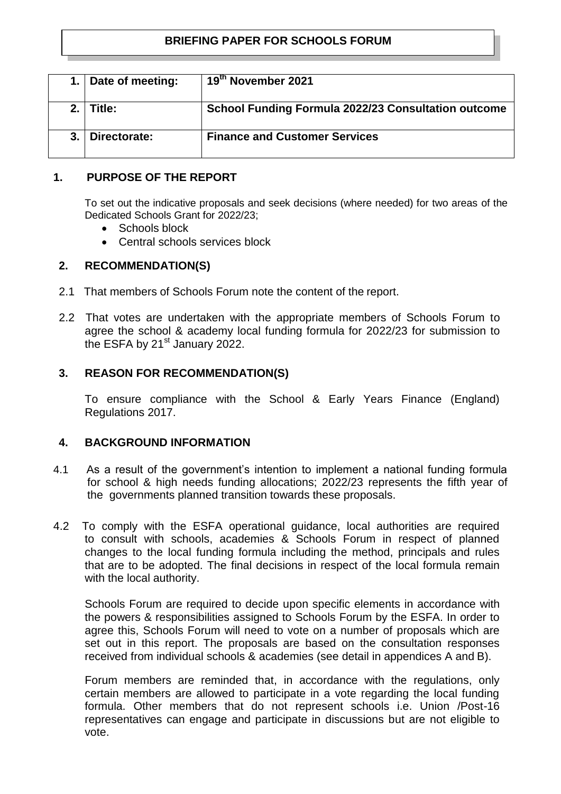# **BRIEFING PAPER FOR SCHOOLS FORUM**

|     | 1. Date of meeting: | 19th November 2021                                         |
|-----|---------------------|------------------------------------------------------------|
| 2.1 | Title:              | <b>School Funding Formula 2022/23 Consultation outcome</b> |
|     | Directorate:        | <b>Finance and Customer Services</b>                       |

## **1. PURPOSE OF THE REPORT**

To set out the indicative proposals and seek decisions (where needed) for two areas of the Dedicated Schools Grant for 2022/23;

- Schools block
- Central schools services block

# **2. RECOMMENDATION(S)**

- 2.1 That members of Schools Forum note the content of the report.
- 2.2 That votes are undertaken with the appropriate members of Schools Forum to agree the school & academy local funding formula for 2022/23 for submission to the ESFA by 21<sup>st</sup> January 2022.

# **3. REASON FOR RECOMMENDATION(S)**

To ensure compliance with the School & Early Years Finance (England) Regulations 2017.

## **4. BACKGROUND INFORMATION**

- 4.1As a result of the government's intention to implement a national funding formula for school & high needs funding allocations; 2022/23 represents the fifth year of the governments planned transition towards these proposals.
- 4.2 To comply with the ESFA operational guidance, local authorities are required to consult with schools, academies & Schools Forum in respect of planned changes to the local funding formula including the method, principals and rules that are to be adopted. The final decisions in respect of the local formula remain with the local authority.

Schools Forum are required to decide upon specific elements in accordance with the powers & responsibilities assigned to Schools Forum by the ESFA. In order to agree this, Schools Forum will need to vote on a number of proposals which are set out in this report. The proposals are based on the consultation responses received from individual schools & academies (see detail in appendices A and B).

Forum members are reminded that, in accordance with the regulations, only certain members are allowed to participate in a vote regarding the local funding formula. Other members that do not represent schools i.e. Union /Post-16 representatives can engage and participate in discussions but are not eligible to vote.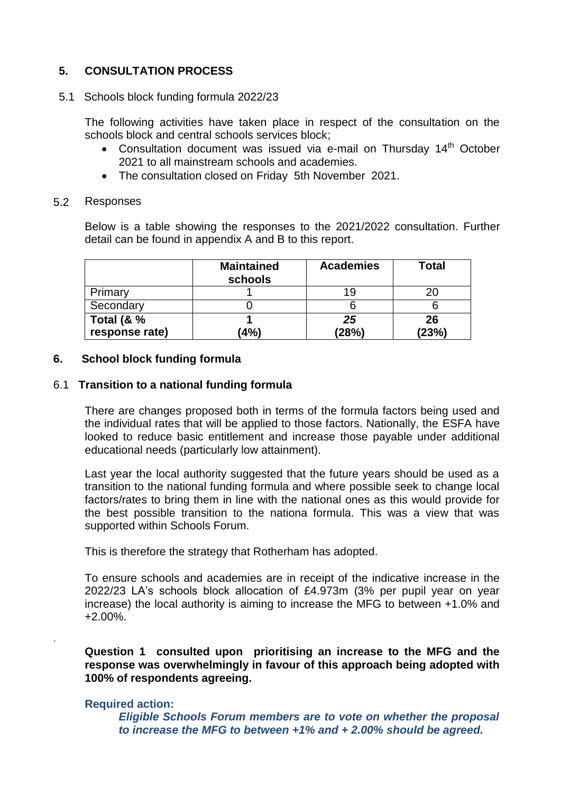# **5. CONSULTATION PROCESS**

### 5.1 Schools block funding formula 2022/23

The following activities have taken place in respect of the consultation on the schools block and central schools services block;

- Consultation document was issued via e-mail on Thursday  $14<sup>th</sup>$  October 2021 to all mainstream schools and academies.
- The consultation closed on Friday 5th November 2021.

#### 5.2 Responses

Below is a table showing the responses to the 2021/2022 consultation. Further detail can be found in appendix A and B to this report.

|                | <b>Maintained</b><br>schools | <b>Academies</b> | Total |
|----------------|------------------------------|------------------|-------|
| Primary        |                              | 19               |       |
| Secondary      |                              |                  |       |
| Total $(8, %$  |                              | 25               | 26    |
| response rate) | (4%)                         | (28%)            | (23%) |

### **6. School block funding formula**

### 6.1 **Transition to a national funding formula**

There are changes proposed both in terms of the formula factors being used and the individual rates that will be applied to those factors. Nationally, the ESFA have looked to reduce basic entitlement and increase those payable under additional educational needs (particularly low attainment).

Last year the local authority suggested that the future years should be used as a transition to the national funding formula and where possible seek to change local factors/rates to bring them in line with the national ones as this would provide for the best possible transition to the nationa formula. This was a view that was supported within Schools Forum.

This is therefore the strategy that Rotherham has adopted.

To ensure schools and academies are in receipt of the indicative increase in the 2022/23 LA's schools block allocation of £4.973m (3% per pupil year on year increase) the local authority is aiming to increase the MFG to between +1.0% and +2.00%.

**Question 1 consulted upon prioritising an increase to the MFG and the response was overwhelmingly in favour of this approach being adopted with 100% of respondents agreeing.**

#### **Required action:**

.

*Eligible Schools Forum members are to vote on whether the proposal to increase the MFG to between +1% and + 2.00% should be agreed.*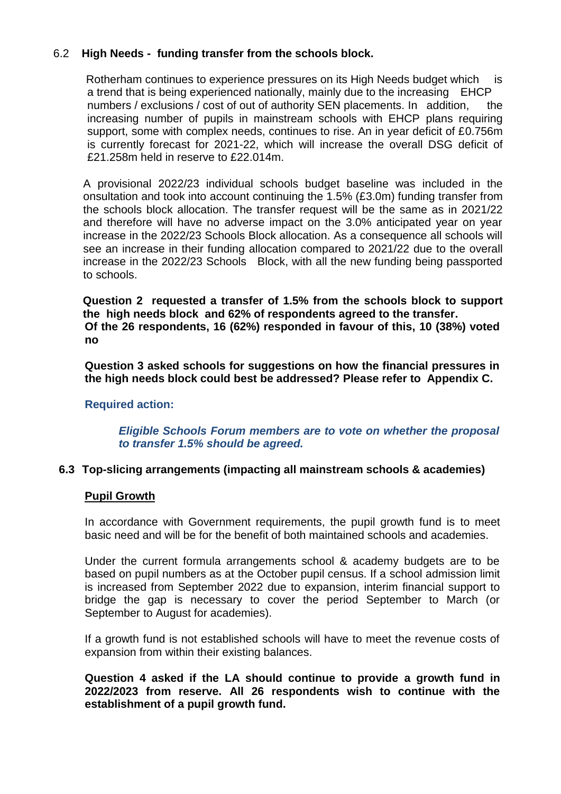# 6.2 **High Needs - funding transfer from the schools block.**

Rotherham continues to experience pressures on its High Needs budget which is a trend that is being experienced nationally, mainly due to the increasing EHCP numbers / exclusions / cost of out of authority SEN placements. In addition, the increasing number of pupils in mainstream schools with EHCP plans requiring support, some with complex needs, continues to rise. An in year deficit of £0.756m is currently forecast for 2021-22, which will increase the overall DSG deficit of £21.258m held in reserve to £22.014m.

A provisional 2022/23 individual schools budget baseline was included in the onsultation and took into account continuing the 1.5% (£3.0m) funding transfer from the schools block allocation. The transfer request will be the same as in 2021/22 and therefore will have no adverse impact on the 3.0% anticipated year on year increase in the 2022/23 Schools Block allocation. As a consequence all schools will see an increase in their funding allocation compared to 2021/22 due to the overall increase in the 2022/23 Schools Block, with all the new funding being passported to schools.

**Question 2 requested a transfer of 1.5% from the schools block to support the high needs block and 62% of respondents agreed to the transfer. Of the 26 respondents, 16 (62%) responded in favour of this, 10 (38%) voted no**

**Question 3 asked schools for suggestions on how the financial pressures in the high needs block could best be addressed? Please refer to Appendix C.**

## **Required action:**

*Eligible Schools Forum members are to vote on whether the proposal to transfer 1.5% should be agreed.*

#### **6.3 Top-slicing arrangements (impacting all mainstream schools & academies)**

#### **Pupil Growth**

In accordance with Government requirements, the pupil growth fund is to meet basic need and will be for the benefit of both maintained schools and academies.

Under the current formula arrangements school & academy budgets are to be based on pupil numbers as at the October pupil census. If a school admission limit is increased from September 2022 due to expansion, interim financial support to bridge the gap is necessary to cover the period September to March (or September to August for academies).

If a growth fund is not established schools will have to meet the revenue costs of expansion from within their existing balances.

**Question 4 asked if the LA should continue to provide a growth fund in 2022/2023 from reserve. All 26 respondents wish to continue with the establishment of a pupil growth fund.**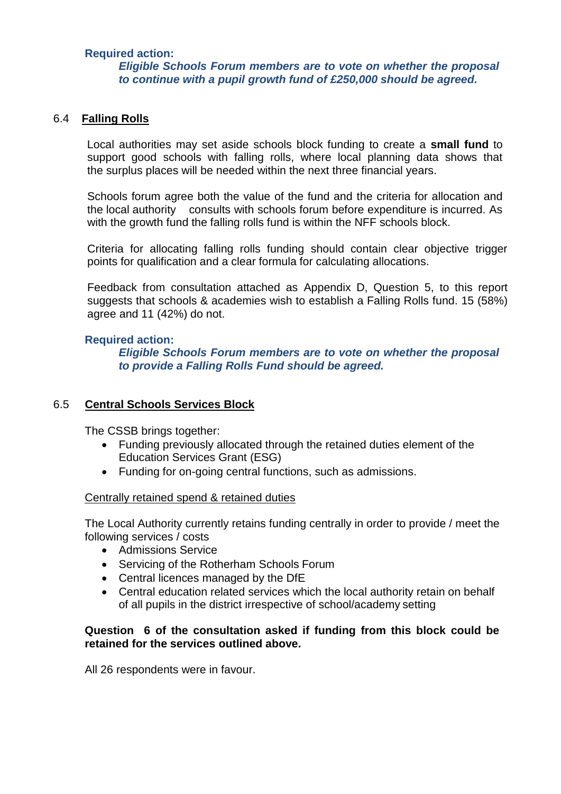## **Required action:**

## *Eligible Schools Forum members are to vote on whether the proposal to continue with a pupil growth fund of £250,000 should be agreed.*

## 6.4 **Falling Rolls**

 Local authorities may set aside schools block funding to create a **small fund** to support good schools with falling rolls, where local planning data shows that the surplus places will be needed within the next three financial years.

Schools forum agree both the value of the fund and the criteria for allocation and the local authority consults with schools forum before expenditure is incurred. As with the growth fund the falling rolls fund is within the NFF schools block.

Criteria for allocating falling rolls funding should contain clear objective trigger points for qualification and a clear formula for calculating allocations.

Feedback from consultation attached as Appendix D, Question 5, to this report suggests that schools & academies wish to establish a Falling Rolls fund. 15 (58%) agree and 11 (42%) do not.

### **Required action:**

*Eligible Schools Forum members are to vote on whether the proposal to provide a Falling Rolls Fund should be agreed.*

## 6.5 **Central Schools Services Block**

The CSSB brings together:

- Funding previously allocated through the retained duties element of the Education Services Grant (ESG)
- Funding for on-going central functions, such as admissions.

#### Centrally retained spend & retained duties

The Local Authority currently retains funding centrally in order to provide / meet the following services / costs

- Admissions Service
- Servicing of the Rotherham Schools Forum
- Central licences managed by the DfE
- Central education related services which the local authority retain on behalf of all pupils in the district irrespective of school/academy setting

## **Question 6 of the consultation asked if funding from this block could be retained for the services outlined above.**

All 26 respondents were in favour.